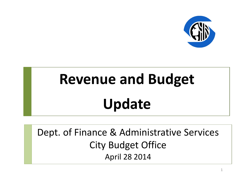

# **Revenue and Budget Update**

Dept. of Finance & Administrative Services City Budget Office April 28 2014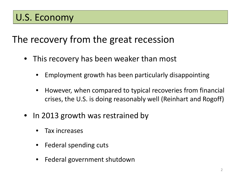## The recovery from the great recession

- This recovery has been weaker than most
	- Employment growth has been particularly disappointing
	- However, when compared to typical recoveries from financial crises, the U.S. is doing reasonably well (Reinhart and Rogoff)
- In 2013 growth was restrained by
	- Tax increases
	- Federal spending cuts
	- Federal government shutdown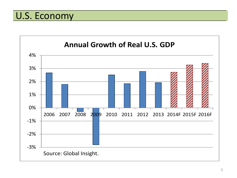U.S. Economy

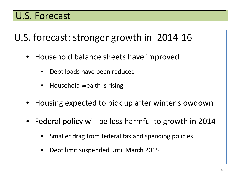#### U.S. Forecast

U.S. forecast: stronger growth in 2014-16

- Household balance sheets have improved
	- Debt loads have been reduced
	- Household wealth is rising
- Housing expected to pick up after winter slowdown
- Federal policy will be less harmful to growth in 2014
	- Smaller drag from federal tax and spending policies
	- Debt limit suspended until March 2015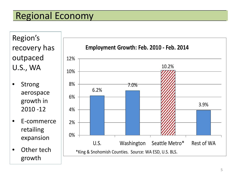## Regional Economy

Region's recovery has outpaced U.S., WA

- **Strong** aerospace growth in 2010 -12
- E-commerce retailing expansion
- Other tech growth

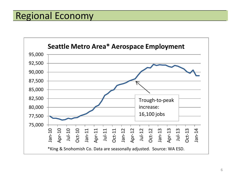#### Regional Economy

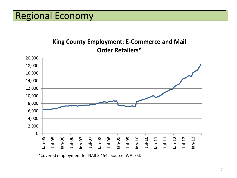#### Regional Economy

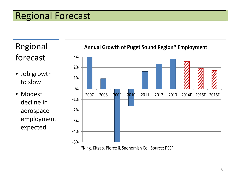#### Regional Forecast

Regional forecast

• Job growth to slow

• Modest decline in aerospace employment expected

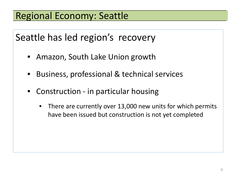## Regional Economy: Seattle

Seattle has led region's recovery

- Amazon, South Lake Union growth
- Business, professional & technical services
- Construction in particular housing
	- There are currently over 13,000 new units for which permits have been issued but construction is not yet completed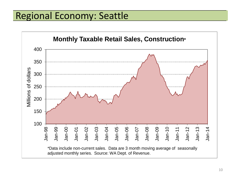#### Regional Economy: Seattle

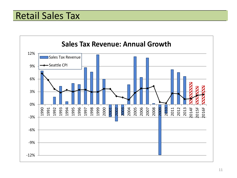#### Retail Sales Tax

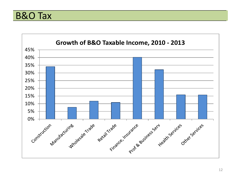B&O Tax

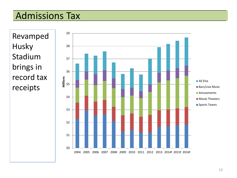#### Admissions Tax

Revamped Husky Stadium brings in record tax receipts

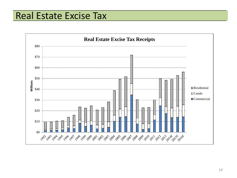#### Real Estate Excise Tax

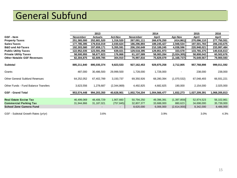# General Subfund

|                                       |             | 2013           |                |               | 2014          |               | 2015          | 2016          |
|---------------------------------------|-------------|----------------|----------------|---------------|---------------|---------------|---------------|---------------|
| <b>GSF</b> - Item                     | November    | <b>Actuals</b> | <b>Act-Nov</b> | November      | April         | Apr-Nov       | April         | April         |
| <b>Property Taxes</b>                 | 251,365,000 | 252,681,520    | 1,316,520      | 267,091,111   | 266,676,250   | (414, 861)    | 270,096,110   | 277,750,551   |
| <b>Sales Taxes</b>                    | 177,785,395 | 179,816,019    | 2,030,624      | 186,296,893   | 189,245,427   | 2,948,534     | 197,501,783   | 206,243,675   |
| <b>B&amp;O and Ad-Taxes</b>           | 192,303,580 | 197,659,171    | 5,355,591      | 206,150,649   | 210, 189, 245 | 4,038,596     | 220,948,021   | 233,997,484   |
| <b>Public Utility Taxes</b>           | 122,952,035 | 123,591,056    | 639,021        | 129,518,395   | 129,851,973   | 333,578       | 133,765,375   | 140,616,613   |
| <b>Private Utility Taxes</b>          | 58,500,955  | 58,677,823     | 176,868        | 61,107,589    | 58,083,284    | (3,024,305)   | 58,808,042    | 60,502,676    |
| <b>Other Notable GSF Revenues</b>     | 82,304,875  | 82,609,785     | 304,910        | 76,997,816    | 75,829,079    | (1, 168, 737) | 76,649,567    | 79,900,593    |
|                                       |             |                |                |               |               |               |               |               |
| Subtotal                              | 885,211,840 | 895,035,374    | 9,823,533      | 927, 162, 453 | 929,875,258   | 2,712,805     | 957,768,898   | 999,011,592   |
| Grants                                | 487,000     | 30,486,500     | 29,999,500     | 1,728,000     | 1,728,000     |               | 238,000       | 238,000       |
| <b>Other General Subfund Revenues</b> | 64,252,052  | 67,402,789     | 3,150,737      | 69,350,926    | 68,280,394    | (1,070,532)   | 67,048,493    | 66,931,221    |
| Other Funds - Fund Balance Transfers  | 3,623,556   | 1,278,687      | (2,344,869)    | 4,492,825     | 4,682,825     | 190,000       | 2,154,000     | 2,025,000     |
| <b>GSF - Grand Total</b>              | 953,574,448 | 994,203,350    | 40,628,901     | 1,002,734,204 | 1,004,566,477 | 1,832,273     | 1,027,209,391 | 1,068,205,813 |
|                                       |             |                |                |               |               |               |               |               |
| <b>Real Estate Excise Tax</b>         | 46,499,069  | 48,406,729     | 1,907,660      | 50,794,250    | 49,396,391    | (1,397,859)   | 52,874,523    | 56,102,861    |
| <b>Commercial Parking Tax</b>         | 31,944,866  | 31, 187, 021   | (757, 845)     | 32,807,377    | 33,688,000    | 880,623       | 34,698,000    | 35,739,000    |
| <b>School Zone Camera Fund</b>        |             |                |                | 8,620,000     | 6,006,000     | (2,614,000)   | 8,342,000     | 8,486,000     |
|                                       |             |                |                |               |               |               |               |               |
| GSF - Subtotal Growth Rates (yr/yr)   |             | 3.6%           |                |               | 3.9%          |               | 3.0%          | 4.3%          |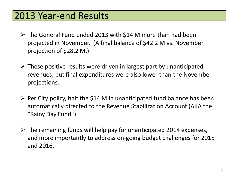#### 2013 Year-end Results

- $\triangleright$  The General Fund ended 2013 with \$14 M more than had been projected in November. (A final balance of \$42.2 M vs. November projection of \$28.2 M.)
- $\triangleright$  These positive results were driven in largest part by unanticipated revenues, but final expenditures were also lower than the November projections.
- $\triangleright$  Per City policy, half the \$14 M in unanticipated fund balance has been automatically directed to the Revenue Stabilization Account (AKA the "Rainy Day Fund").
- $\triangleright$  The remaining funds will help pay for unanticipated 2014 expenses, and more importantly to address on-going budget challenges for 2015 and 2016.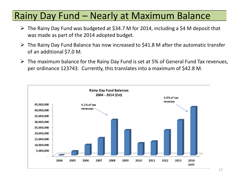#### Rainy Day Fund – Nearly at Maximum Balance

- $\triangleright$  The Rainy Day Fund was budgeted at \$34.7 M for 2014, including a \$4 M deposit that was made as part of the 2014 adopted budget.
- $\triangleright$  The Rainy Day Fund Balance has now increased to \$41.8 M after the automatic transfer of an additional \$7.0 M.
- $\triangleright$  The maximum balance for the Rainy Day Fund is set at 5% of General Fund Tax revenues, per ordinance 123743. Currently, this translates into a maximum of \$42.8 M.

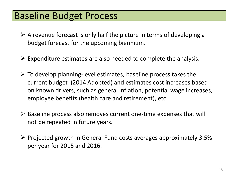#### Baseline Budget Process

- $\triangleright$  A revenue forecast is only half the picture in terms of developing a budget forecast for the upcoming biennium.
- $\triangleright$  Expenditure estimates are also needed to complete the analysis.
- $\triangleright$  To develop planning-level estimates, baseline process takes the current budget (2014 Adopted) and estimates cost increases based on known drivers, such as general inflation, potential wage increases, employee benefits (health care and retirement), etc.
- $\triangleright$  Baseline process also removes current one-time expenses that will not be repeated in future years.
- $\triangleright$  Projected growth in General Fund costs averages approximately 3.5% per year for 2015 and 2016.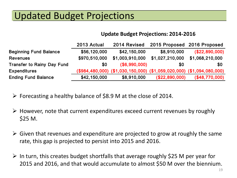## Updated Budget Projections

#### **Update Budget Projections: 2014-2016**

|                                   | 2013 Actual   | 2014 Revised                                                          | 2015 Proposed 2016 Proposed |                 |
|-----------------------------------|---------------|-----------------------------------------------------------------------|-----------------------------|-----------------|
| <b>Beginning Fund Balance</b>     | \$56,120,000  | \$42,150,000                                                          | \$8,910,000                 | (\$22,890,000)  |
| <b>Revenues</b>                   | \$970,510,000 | \$1,003,910,000                                                       | \$1,027,210,000             | \$1,068,210,000 |
| <b>Transfer to Rainy Day Fund</b> | \$0           | (S6, 990, 000)                                                        | \$0                         | <b>\$0</b>      |
| <b>Expenditures</b>               |               | (\$984,480,000) (\$1,030,150,000) (\$1,059,020,000) (\$1,094,080,000) |                             |                 |
| <b>Ending Fund Balance</b>        | \$42,150,000  | \$8,910,000                                                           | (\$22,890,000)              | (\$48,770,000)  |

- $\triangleright$  Forecasting a healthy balance of \$8.9 M at the close of 2014.
- $\triangleright$  However, note that current expenditures exceed current revenues by roughly \$25 M.
- $\triangleright$  Given that revenues and expenditure are projected to grow at roughly the same rate, this gap is projected to persist into 2015 and 2016.
- $\triangleright$  In turn, this creates budget shortfalls that average roughly \$25 M per year for 2015 and 2016, and that would accumulate to almost \$50 M over the biennium.